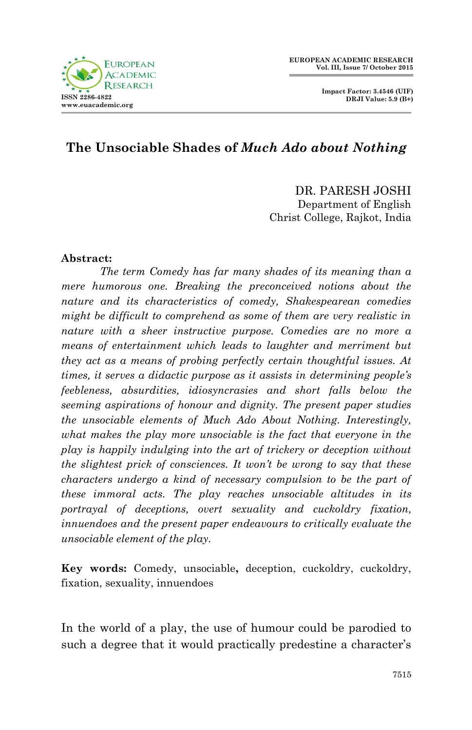



# **The Unsociable Shades of** *Much Ado about Nothing*

## DR. PARESH JOSHI Department of English Christ College, Rajkot, India

#### **Abstract:**

*The term Comedy has far many shades of its meaning than a mere humorous one. Breaking the preconceived notions about the nature and its characteristics of comedy, Shakespearean comedies might be difficult to comprehend as some of them are very realistic in nature with a sheer instructive purpose. Comedies are no more a means of entertainment which leads to laughter and merriment but they act as a means of probing perfectly certain thoughtful issues. At times, it serves a didactic purpose as it assists in determining people's feebleness, absurdities, idiosyncrasies and short falls below the seeming aspirations of honour and dignity. The present paper studies the unsociable elements of Much Ado About Nothing. Interestingly, what makes the play more unsociable is the fact that everyone in the play is happily indulging into the art of trickery or deception without the slightest prick of consciences. It won't be wrong to say that these characters undergo a kind of necessary compulsion to be the part of these immoral acts. The play reaches unsociable altitudes in its portrayal of deceptions, overt sexuality and cuckoldry fixation, innuendoes and the present paper endeavours to critically evaluate the unsociable element of the play.*

**Key words:** Comedy, unsociable**,** deception, cuckoldry, cuckoldry, fixation, sexuality, innuendoes

In the world of a play, the use of humour could be parodied to such a degree that it would practically predestine a character's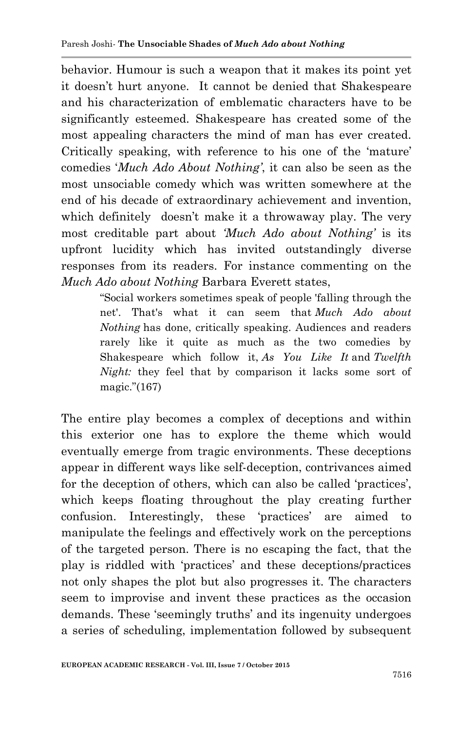behavior. Humour is such a weapon that it makes its point yet it doesn"t hurt anyone. It cannot be denied that Shakespeare and his characterization of emblematic characters have to be significantly esteemed. Shakespeare has created some of the most appealing characters the mind of man has ever created. Critically speaking, with reference to his one of the "mature" comedies "*Much Ado About Nothing'*, it can also be seen as the most unsociable comedy which was written somewhere at the end of his decade of extraordinary achievement and invention, which definitely doesn't make it a throwaway play. The very most creditable part about *'Much Ado about Nothing'* is its upfront lucidity which has invited outstandingly diverse responses from its readers. For instance commenting on the *Much Ado about Nothing* Barbara Everett states,

> "Social workers sometimes speak of people 'falling through the net'. That's what it can seem that *Much Ado about Nothing* has done, critically speaking. Audiences and readers rarely like it quite as much as the two comedies by Shakespeare which follow it, *As You Like It* and *Twelfth Night:* they feel that by comparison it lacks some sort of magic."(167)

The entire play becomes a complex of deceptions and within this exterior one has to explore the theme which would eventually emerge from tragic environments. These deceptions appear in different ways like self-deception, contrivances aimed for the deception of others, which can also be called 'practices', which keeps floating throughout the play creating further confusion. Interestingly, these "practices" are aimed to manipulate the feelings and effectively work on the perceptions of the targeted person. There is no escaping the fact, that the play is riddled with "practices" and these deceptions/practices not only shapes the plot but also progresses it. The characters seem to improvise and invent these practices as the occasion demands. These 'seemingly truths' and its ingenuity undergoes a series of scheduling, implementation followed by subsequent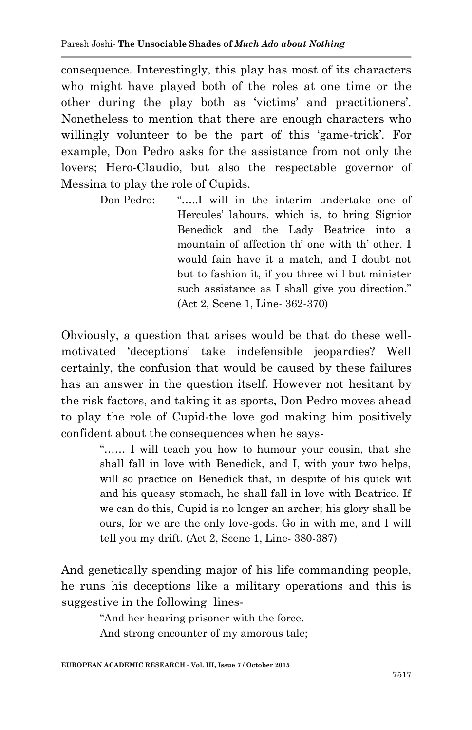consequence. Interestingly, this play has most of its characters who might have played both of the roles at one time or the other during the play both as "victims" and practitioners". Nonetheless to mention that there are enough characters who willingly volunteer to be the part of this 'game-trick'. For example, Don Pedro asks for the assistance from not only the lovers; Hero-Claudio, but also the respectable governor of Messina to play the role of Cupids.

> Don Pedro: "…..I will in the interim undertake one of Hercules" labours, which is, to bring Signior Benedick and the Lady Beatrice into a mountain of affection th' one with th' other. I would fain have it a match, and I doubt not but to fashion it, if you three will but minister such assistance as I shall give you direction." (Act 2, Scene 1, Line- 362-370)

Obviously, a question that arises would be that do these wellmotivated "deceptions" take indefensible jeopardies? Well certainly, the confusion that would be caused by these failures has an answer in the question itself. However not hesitant by the risk factors, and taking it as sports, Don Pedro moves ahead to play the role of Cupid-the love god making him positively confident about the consequences when he says-

> "…… I will teach you how to humour your cousin, that she shall fall in love with Benedick, and I, with your two helps, will so practice on Benedick that, in despite of his quick wit and his queasy stomach, he shall fall in love with Beatrice. If we can do this, Cupid is no longer an archer; his glory shall be ours, for we are the only love-gods. Go in with me, and I will tell you my drift. (Act 2, Scene 1, Line- 380-387)

And genetically spending major of his life commanding people, he runs his deceptions like a military operations and this is suggestive in the following lines-

"And her hearing prisoner with the force.

And strong encounter of my amorous tale;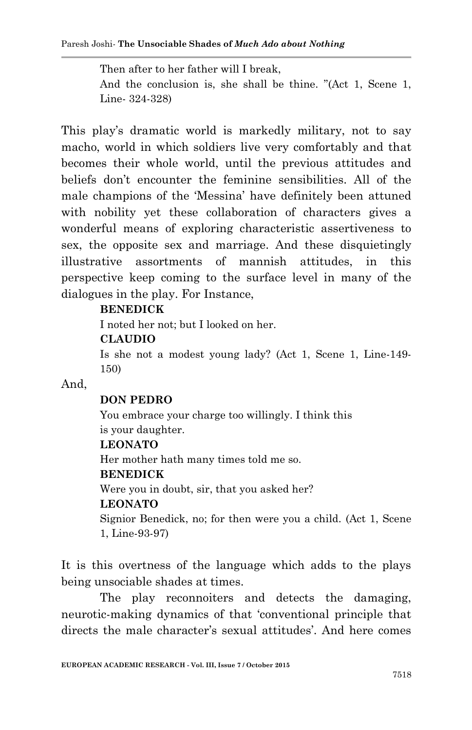Then after to her father will I break, And the conclusion is, she shall be thine. "(Act 1, Scene 1, Line- 324-328)

This play's dramatic world is markedly military, not to say macho, world in which soldiers live very comfortably and that becomes their whole world, until the previous attitudes and beliefs don"t encounter the feminine sensibilities. All of the male champions of the "Messina" have definitely been attuned with nobility yet these collaboration of characters gives a wonderful means of exploring characteristic assertiveness to sex, the opposite sex and marriage. And these disquietingly illustrative assortments of mannish attitudes, in this perspective keep coming to the surface level in many of the dialogues in the play. For Instance,

### **BENEDICK**

I noted her not; but I looked on her.

### **CLAUDIO**

Is she not a modest young lady? (Act 1, Scene 1, Line-149- 150)

#### And,

#### **DON PEDRO**

You embrace your charge too willingly. I think this is your daughter.

#### **LEONATO**

Her mother hath many times told me so.

#### **BENEDICK**

Were you in doubt, sir, that you asked her?

#### **LEONATO**

Signior Benedick, no; for then were you a child. (Act 1, Scene 1, Line-93-97)

It is this overtness of the language which adds to the plays being unsociable shades at times.

The play reconnoiters and detects the damaging, neurotic-making dynamics of that "conventional principle that directs the male character's sexual attitudes'. And here comes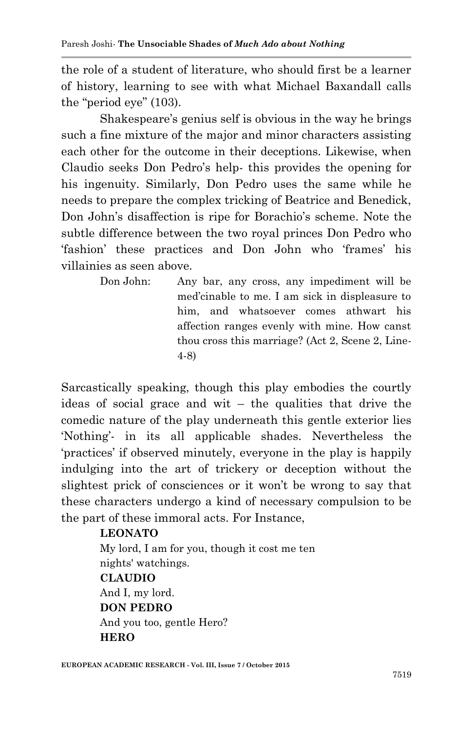the role of a student of literature, who should first be a learner of history, learning to see with what Michael Baxandall calls the "period eye" (103).

Shakespeare's genius self is obvious in the way he brings such a fine mixture of the major and minor characters assisting each other for the outcome in their deceptions. Likewise, when Claudio seeks Don Pedro"s help- this provides the opening for his ingenuity. Similarly, Don Pedro uses the same while he needs to prepare the complex tricking of Beatrice and Benedick, Don John's disaffection is ripe for Borachio's scheme. Note the subtle difference between the two royal princes Don Pedro who "fashion" these practices and Don John who "frames" his villainies as seen above.

Don John: Any bar, any cross, any impediment will be med"cinable to me. I am sick in displeasure to him, and whatsoever comes athwart his affection ranges evenly with mine. How canst thou cross this marriage? (Act 2, Scene 2, Line-4-8)

Sarcastically speaking, though this play embodies the courtly ideas of social grace and wit – the qualities that drive the comedic nature of the play underneath this gentle exterior lies "Nothing"- in its all applicable shades. Nevertheless the "practices" if observed minutely, everyone in the play is happily indulging into the art of trickery or deception without the slightest prick of consciences or it won"t be wrong to say that these characters undergo a kind of necessary compulsion to be the part of these immoral acts. For Instance,

### **LEONATO**

My lord, I am for you, though it cost me ten nights' watchings. **CLAUDIO** And I, my lord. **DON PEDRO** And you too, gentle Hero? **HERO**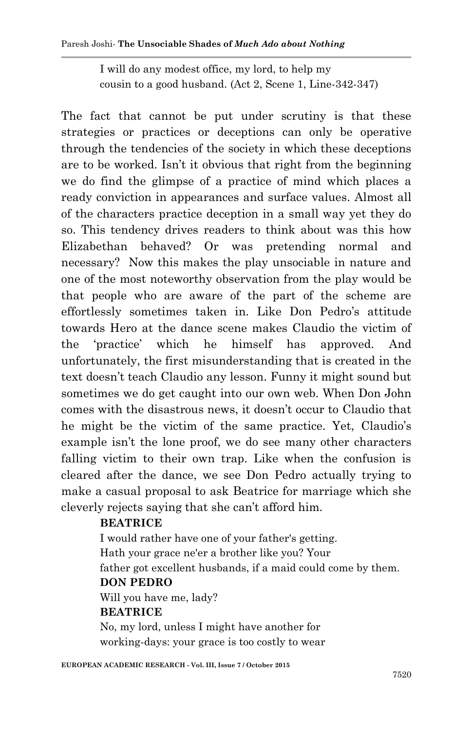I will do any modest office, my lord, to help my cousin to a good husband. (Act 2, Scene 1, Line-342-347)

The fact that cannot be put under scrutiny is that these strategies or practices or deceptions can only be operative through the tendencies of the society in which these deceptions are to be worked. Isn"t it obvious that right from the beginning we do find the glimpse of a practice of mind which places a ready conviction in appearances and surface values. Almost all of the characters practice deception in a small way yet they do so. This tendency drives readers to think about was this how Elizabethan behaved? Or was pretending normal and necessary? Now this makes the play unsociable in nature and one of the most noteworthy observation from the play would be that people who are aware of the part of the scheme are effortlessly sometimes taken in. Like Don Pedro"s attitude towards Hero at the dance scene makes Claudio the victim of the "practice" which he himself has approved. And unfortunately, the first misunderstanding that is created in the text doesn"t teach Claudio any lesson. Funny it might sound but sometimes we do get caught into our own web. When Don John comes with the disastrous news, it doesn"t occur to Claudio that he might be the victim of the same practice. Yet, Claudio's example isn't the lone proof, we do see many other characters falling victim to their own trap. Like when the confusion is cleared after the dance, we see Don Pedro actually trying to make a casual proposal to ask Beatrice for marriage which she cleverly rejects saying that she can"t afford him.

#### **BEATRICE**

I would rather have one of your father's getting. Hath your grace ne'er a brother like you? Your father got excellent husbands, if a maid could come by them. **DON PEDRO** Will you have me, lady? **BEATRICE** No, my lord, unless I might have another for working-days: your grace is too costly to wear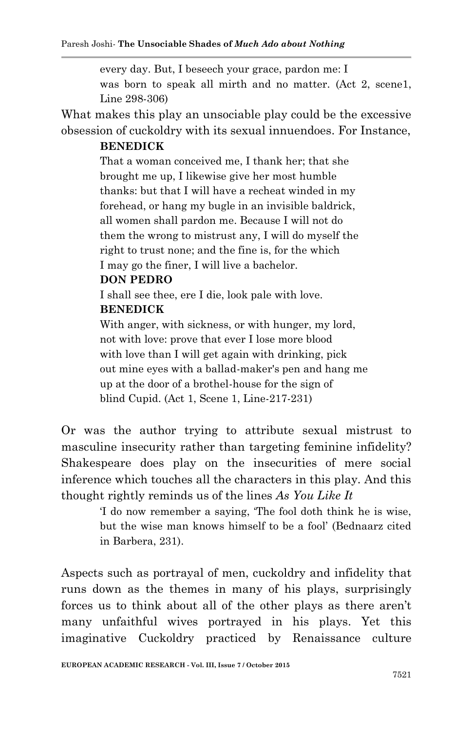every day. But, I beseech your grace, pardon me: I was born to speak all mirth and no matter. (Act 2, scene1, Line 298-306)

What makes this play an unsociable play could be the excessive obsession of cuckoldry with its sexual innuendoes. For Instance,

#### **BENEDICK**

That a woman conceived me, I thank her; that she brought me up, I likewise give her most humble thanks: but that I will have a recheat winded in my forehead, or hang my bugle in an invisible baldrick, all women shall pardon me. Because I will not do them the wrong to mistrust any, I will do myself the right to trust none; and the fine is, for the which I may go the finer, I will live a bachelor.

#### **DON PEDRO**

I shall see thee, ere I die, look pale with love.

# **BENEDICK**

With anger, with sickness, or with hunger, my lord, not with love: prove that ever I lose more blood with love than I will get again with drinking, pick out mine eyes with a ballad-maker's pen and hang me up at the door of a brothel-house for the sign of blind Cupid. (Act 1, Scene 1, Line-217-231)

Or was the author trying to attribute sexual mistrust to masculine insecurity rather than targeting feminine infidelity? Shakespeare does play on the insecurities of mere social inference which touches all the characters in this play. And this thought rightly reminds us of the lines *As You Like It* 

> "I do now remember a saying, "The fool doth think he is wise, but the wise man knows himself to be a fool" (Bednaarz cited in Barbera, 231).

Aspects such as portrayal of men, cuckoldry and infidelity that runs down as the themes in many of his plays, surprisingly forces us to think about all of the other plays as there aren"t many unfaithful wives portrayed in his plays. Yet this imaginative Cuckoldry practiced by Renaissance culture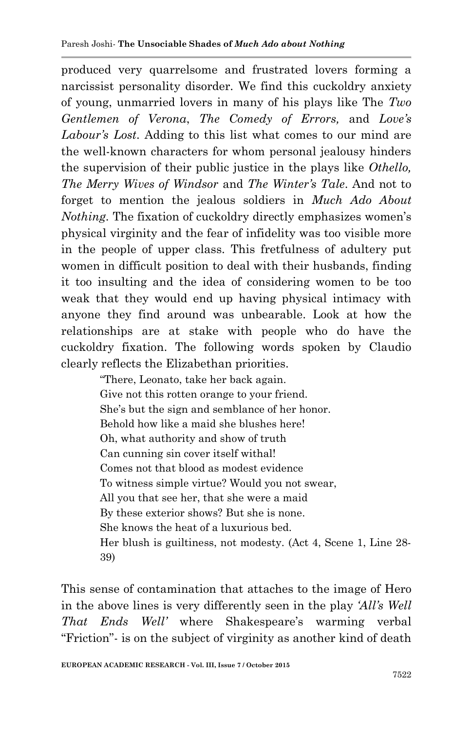produced very quarrelsome and frustrated lovers forming a narcissist personality disorder. We find this cuckoldry anxiety of young, unmarried lovers in many of his plays like The *Two Gentlemen of Verona*, *The Comedy of Errors,* and *Love's Labour's Lost*. Adding to this list what comes to our mind are the well-known characters for whom personal jealousy hinders the supervision of their public justice in the plays like *Othello, The Merry Wives of Windsor* and *The Winter's Tale*. And not to forget to mention the jealous soldiers in *Much Ado About Nothing*. The fixation of cuckoldry directly emphasizes women's physical virginity and the fear of infidelity was too visible more in the people of upper class. This fretfulness of adultery put women in difficult position to deal with their husbands, finding it too insulting and the idea of considering women to be too weak that they would end up having physical intimacy with anyone they find around was unbearable. Look at how the relationships are at stake with people who do have the cuckoldry fixation. The following words spoken by Claudio clearly reflects the Elizabethan priorities.

> "There, Leonato, take her back again. Give not this rotten orange to your friend. She"s but the sign and semblance of her honor. Behold how like a maid she blushes here! Oh, what authority and show of truth Can cunning sin cover itself withal! Comes not that blood as modest evidence To witness simple virtue? Would you not swear, All you that see her, that she were a maid By these exterior shows? But she is none. She knows the heat of a luxurious bed. Her blush is guiltiness, not modesty. (Act 4, Scene 1, Line 28- 39)

This sense of contamination that attaches to the image of Hero in the above lines is very differently seen in the play *'All's Well That Ends Well'* where Shakespeare's warming verbal "Friction"- is on the subject of virginity as another kind of death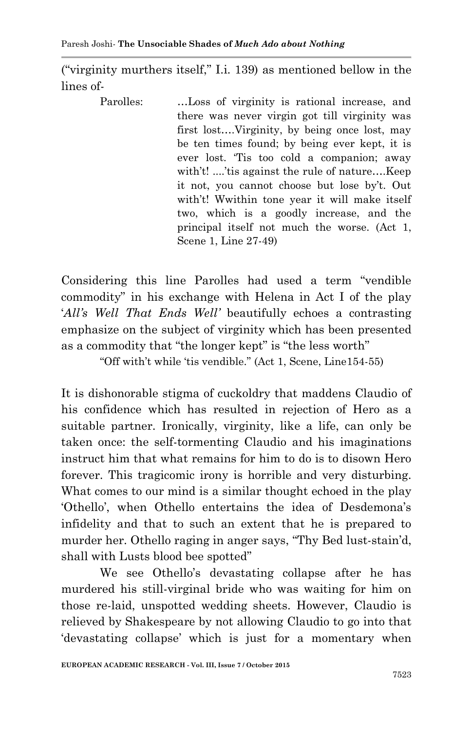("virginity murthers itself," I.i. 139) as mentioned bellow in the lines of-

Parolles: …Loss of virginity is rational increase, and there was never virgin got till virginity was first lost….Virginity, by being once lost, may be ten times found; by being ever kept, it is ever lost. "Tis too cold a companion; away with't! ....'tis against the rule of nature....Keep it not, you cannot choose but lose by"t. Out with't! Wwithin tone year it will make itself two, which is a goodly increase, and the principal itself not much the worse. (Act 1, Scene 1, Line 27-49)

Considering this line Parolles had used a term "vendible commodity" in his exchange with Helena in Act I of the play "*All's Well That Ends Well'* beautifully echoes a contrasting emphasize on the subject of virginity which has been presented as a commodity that "the longer kept" is "the less worth"

"Off with"t while "tis vendible." (Act 1, Scene, Line154-55)

It is dishonorable stigma of cuckoldry that maddens Claudio of his confidence which has resulted in rejection of Hero as a suitable partner. Ironically, virginity, like a life, can only be taken once: the self-tormenting Claudio and his imaginations instruct him that what remains for him to do is to disown Hero forever. This tragicomic irony is horrible and very disturbing. What comes to our mind is a similar thought echoed in the play "Othello", when Othello entertains the idea of Desdemona"s infidelity and that to such an extent that he is prepared to murder her. Othello raging in anger says, "Thy Bed lust-stain"d, shall with Lusts blood bee spotted"

We see Othello"s devastating collapse after he has murdered his still-virginal bride who was waiting for him on those re-laid, unspotted wedding sheets. However, Claudio is relieved by Shakespeare by not allowing Claudio to go into that "devastating collapse" which is just for a momentary when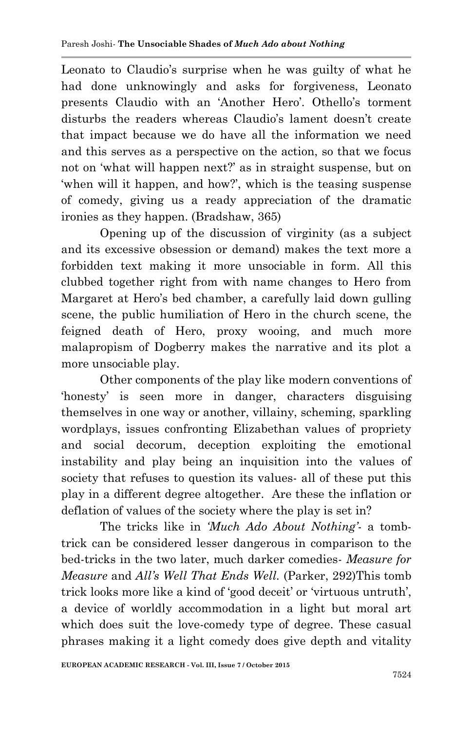Leonato to Claudio's surprise when he was guilty of what he had done unknowingly and asks for forgiveness, Leonato presents Claudio with an 'Another Hero'. Othello's torment disturbs the readers whereas Claudio's lament doesn't create that impact because we do have all the information we need and this serves as a perspective on the action, so that we focus not on "what will happen next?" as in straight suspense, but on "when will it happen, and how?", which is the teasing suspense of comedy, giving us a ready appreciation of the dramatic ironies as they happen. (Bradshaw, 365)

Opening up of the discussion of virginity (as a subject and its excessive obsession or demand) makes the text more a forbidden text making it more unsociable in form. All this clubbed together right from with name changes to Hero from Margaret at Hero's bed chamber, a carefully laid down gulling scene, the public humiliation of Hero in the church scene, the feigned death of Hero, proxy wooing, and much more malapropism of Dogberry makes the narrative and its plot a more unsociable play.

Other components of the play like modern conventions of "honesty" is seen more in danger, characters disguising themselves in one way or another, villainy, scheming, sparkling wordplays, issues confronting Elizabethan values of propriety and social decorum, deception exploiting the emotional instability and play being an inquisition into the values of society that refuses to question its values- all of these put this play in a different degree altogether. Are these the inflation or deflation of values of the society where the play is set in?

The tricks like in *'Much Ado About Nothing'*- a tombtrick can be considered lesser dangerous in comparison to the bed-tricks in the two later, much darker comedies- *Measure for Measure* and *All's Well That Ends Well.* (Parker, 292)This tomb trick looks more like a kind of 'good deceit' or 'virtuous untruth', a device of worldly accommodation in a light but moral art which does suit the love-comedy type of degree. These casual phrases making it a light comedy does give depth and vitality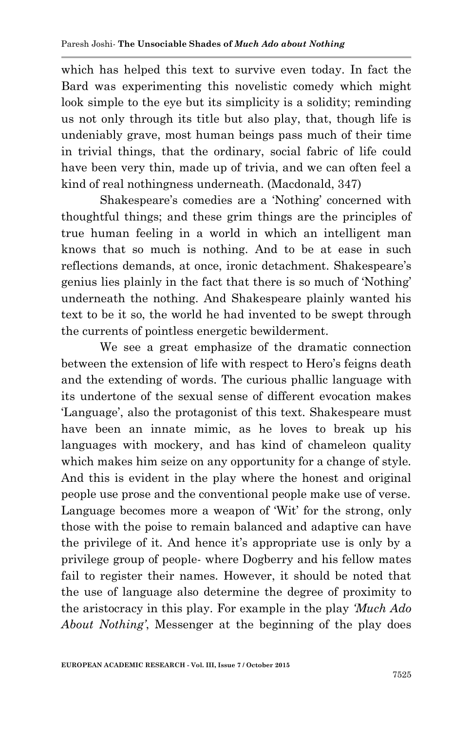which has helped this text to survive even today. In fact the Bard was experimenting this novelistic comedy which might look simple to the eye but its simplicity is a solidity; reminding us not only through its title but also play, that, though life is undeniably grave, most human beings pass much of their time in trivial things, that the ordinary, social fabric of life could have been very thin, made up of trivia, and we can often feel a kind of real nothingness underneath. (Macdonald, 347)

Shakespeare's comedies are a 'Nothing' concerned with thoughtful things; and these grim things are the principles of true human feeling in a world in which an intelligent man knows that so much is nothing. And to be at ease in such reflections demands, at once, ironic detachment. Shakespeare's genius lies plainly in the fact that there is so much of "Nothing" underneath the nothing. And Shakespeare plainly wanted his text to be it so, the world he had invented to be swept through the currents of pointless energetic bewilderment.

We see a great emphasize of the dramatic connection between the extension of life with respect to Hero"s feigns death and the extending of words. The curious phallic language with its undertone of the sexual sense of different evocation makes 'Language', also the protagonist of this text. Shakespeare must have been an innate mimic, as he loves to break up his languages with mockery, and has kind of chameleon quality which makes him seize on any opportunity for a change of style. And this is evident in the play where the honest and original people use prose and the conventional people make use of verse. Language becomes more a weapon of "Wit" for the strong, only those with the poise to remain balanced and adaptive can have the privilege of it. And hence it's appropriate use is only by a privilege group of people- where Dogberry and his fellow mates fail to register their names. However, it should be noted that the use of language also determine the degree of proximity to the aristocracy in this play. For example in the play *'Much Ado About Nothing'*, Messenger at the beginning of the play does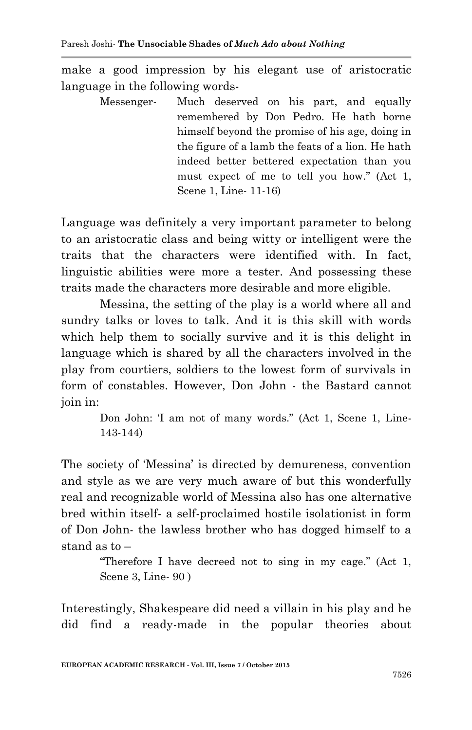make a good impression by his elegant use of aristocratic language in the following words-

> Messenger- Much deserved on his part, and equally remembered by Don Pedro. He hath borne himself beyond the promise of his age, doing in the figure of a lamb the feats of a lion. He hath indeed better bettered expectation than you must expect of me to tell you how." (Act 1, Scene 1, Line- 11-16)

Language was definitely a very important parameter to belong to an aristocratic class and being witty or intelligent were the traits that the characters were identified with. In fact, linguistic abilities were more a tester. And possessing these traits made the characters more desirable and more eligible.

Messina, the setting of the play is a world where all and sundry talks or loves to talk. And it is this skill with words which help them to socially survive and it is this delight in language which is shared by all the characters involved in the play from courtiers, soldiers to the lowest form of survivals in form of constables. However, Don John - the Bastard cannot join in:

> Don John: 'I am not of many words." (Act 1, Scene 1, Line-143-144)

The society of "Messina" is directed by demureness, convention and style as we are very much aware of but this wonderfully real and recognizable world of Messina also has one alternative bred within itself- a self-proclaimed hostile isolationist in form of Don John- the lawless brother who has dogged himself to a stand as to –

> "Therefore I have decreed not to sing in my cage." (Act 1, Scene 3, Line- 90 )

Interestingly, Shakespeare did need a villain in his play and he did find a ready-made in the popular theories about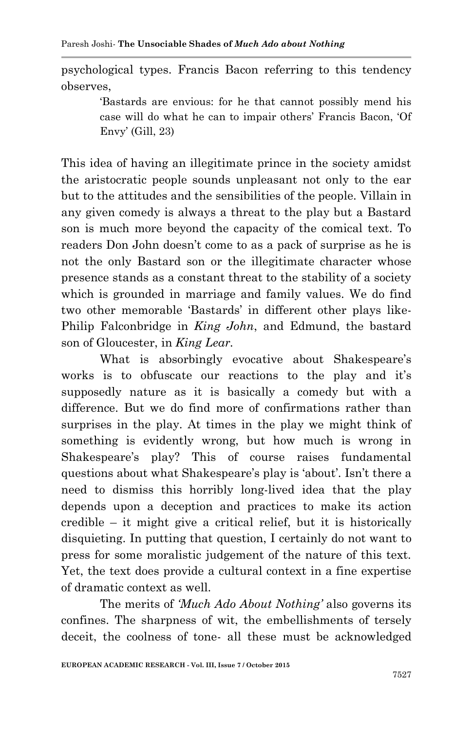psychological types. Francis Bacon referring to this tendency observes,

> "Bastards are envious: for he that cannot possibly mend his case will do what he can to impair others" Francis Bacon, "Of Envy" (Gill, 23)

This idea of having an illegitimate prince in the society amidst the aristocratic people sounds unpleasant not only to the ear but to the attitudes and the sensibilities of the people. Villain in any given comedy is always a threat to the play but a Bastard son is much more beyond the capacity of the comical text. To readers Don John doesn"t come to as a pack of surprise as he is not the only Bastard son or the illegitimate character whose presence stands as a constant threat to the stability of a society which is grounded in marriage and family values. We do find two other memorable "Bastards" in different other plays like-Philip Falconbridge in *King John*, and Edmund, the bastard son of Gloucester, in *King Lear.*

What is absorbingly evocative about Shakespeare's works is to obfuscate our reactions to the play and it's supposedly nature as it is basically a comedy but with a difference. But we do find more of confirmations rather than surprises in the play. At times in the play we might think of something is evidently wrong, but how much is wrong in Shakespeare's play? This of course raises fundamental questions about what Shakespeare's play is 'about'. Isn't there a need to dismiss this horribly long-lived idea that the play depends upon a deception and practices to make its action credible – it might give a critical relief, but it is historically disquieting. In putting that question, I certainly do not want to press for some moralistic judgement of the nature of this text. Yet, the text does provide a cultural context in a fine expertise of dramatic context as well.

The merits of *'Much Ado About Nothing'* also governs its confines. The sharpness of wit, the embellishments of tersely deceit, the coolness of tone- all these must be acknowledged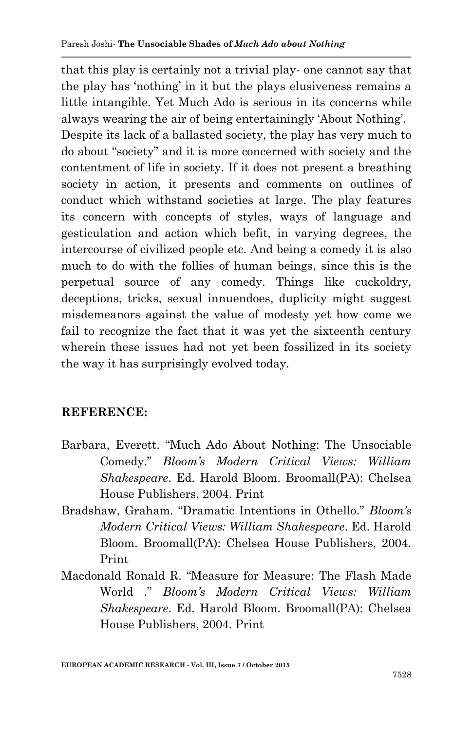that this play is certainly not a trivial play- one cannot say that the play has "nothing" in it but the plays elusiveness remains a little intangible. Yet Much Ado is serious in its concerns while always wearing the air of being entertainingly "About Nothing". Despite its lack of a ballasted society, the play has very much to do about "society" and it is more concerned with society and the contentment of life in society. If it does not present a breathing society in action, it presents and comments on outlines of conduct which withstand societies at large. The play features its concern with concepts of styles, ways of language and gesticulation and action which befit, in varying degrees, the intercourse of civilized people etc. And being a comedy it is also much to do with the follies of human beings, since this is the perpetual source of any comedy. Things like cuckoldry, deceptions, tricks, sexual innuendoes, duplicity might suggest misdemeanors against the value of modesty yet how come we fail to recognize the fact that it was yet the sixteenth century wherein these issues had not yet been fossilized in its society the way it has surprisingly evolved today.

# **REFERENCE:**

- Barbara, Everett. "Much Ado About Nothing: The Unsociable Comedy." *Bloom's Modern Critical Views: William Shakespeare*. Ed. Harold Bloom. Broomall(PA): Chelsea House Publishers, 2004. Print
- Bradshaw, Graham. "Dramatic Intentions in Othello." *Bloom's Modern Critical Views: William Shakespeare*. Ed. Harold Bloom. Broomall(PA): Chelsea House Publishers, 2004. Print
- Macdonald Ronald R. "Measure for Measure: The Flash Made World ." *Bloom's Modern Critical Views: William Shakespeare*. Ed. Harold Bloom. Broomall(PA): Chelsea House Publishers, 2004. Print